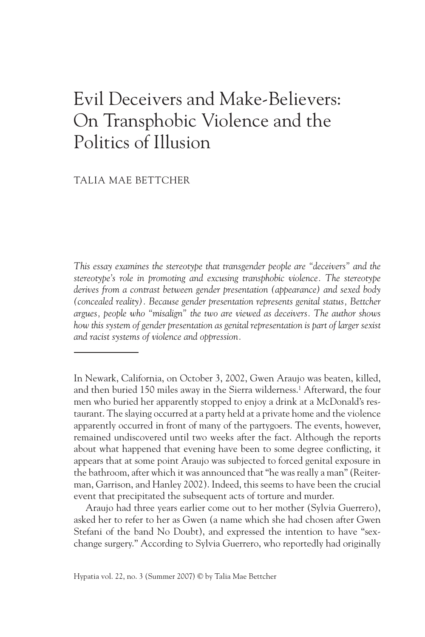# Evil Deceivers and Make-Believers: On Transphobic Violence and the Politics of Illusion

Talia Mae Bettcher

*This essay examines the stereotype that transgender people are "deceivers" and the stereotype's role in promoting and excusing transphobic violence. The stereotype derives from a contrast between gender presentation (appearance) and sexed body (concealed reality). Because gender presentation represents genital status, Bettcher argues, people who "misalign" the two are viewed as deceivers. The author shows how this system of gender presentation as genital representation is part of larger sexist and racist systems of violence and oppression.*

In Newark, California, on October 3, 2002, Gwen Araujo was beaten, killed, and then buried 150 miles away in the Sierra wilderness.<sup>1</sup> Afterward, the four men who buried her apparently stopped to enjoy a drink at a McDonald's restaurant. The slaying occurred at a party held at a private home and the violence apparently occurred in front of many of the partygoers. The events, however, remained undiscovered until two weeks after the fact. Although the reports about what happened that evening have been to some degree conflicting, it appears that at some point Araujo was subjected to forced genital exposure in the bathroom, after which it was announced that "he was really a man" (Reiterman, Garrison, and Hanley 2002). Indeed, this seems to have been the crucial event that precipitated the subsequent acts of torture and murder.

Araujo had three years earlier come out to her mother (Sylvia Guerrero), asked her to refer to her as Gwen (a name which she had chosen after Gwen Stefani of the band No Doubt), and expressed the intention to have "sexchange surgery." According to Sylvia Guerrero, who reportedly had originally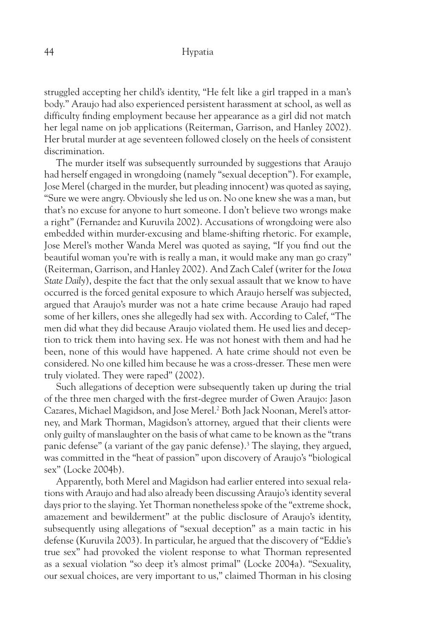struggled accepting her child's identity, "He felt like a girl trapped in a man's body." Araujo had also experienced persistent harassment at school, as well as difficulty finding employment because her appearance as a girl did not match her legal name on job applications (Reiterman, Garrison, and Hanley 2002). Her brutal murder at age seventeen followed closely on the heels of consistent discrimination.

The murder itself was subsequently surrounded by suggestions that Araujo had herself engaged in wrongdoing (namely "sexual deception"). For example, Jose Merel (charged in the murder, but pleading innocent) was quoted as saying, "Sure we were angry. Obviously she led us on. No one knew she was a man, but that's no excuse for anyone to hurt someone. I don't believe two wrongs make a right" (Fernandez and Kuruvila 2002). Accusations of wrongdoing were also embedded within murder-excusing and blame-shifting rhetoric. For example, Jose Merel's mother Wanda Merel was quoted as saying, "If you find out the beautiful woman you're with is really a man, it would make any man go crazy" (Reiterman, Garrison, and Hanley 2002). And Zach Calef (writer for the *Iowa State Daily*), despite the fact that the only sexual assault that we know to have occurred is the forced genital exposure to which Araujo herself was subjected, argued that Araujo's murder was not a hate crime because Araujo had raped some of her killers, ones she allegedly had sex with. According to Calef, "The men did what they did because Araujo violated them. He used lies and deception to trick them into having sex. He was not honest with them and had he been, none of this would have happened. A hate crime should not even be considered. No one killed him because he was a cross-dresser. These men were truly violated. They were raped" (2002).

Such allegations of deception were subsequently taken up during the trial of the three men charged with the first-degree murder of Gwen Araujo: Jason Cazares, Michael Magidson, and Jose Merel.<sup>2</sup> Both Jack Noonan, Merel's attorney, and Mark Thorman, Magidson's attorney, argued that their clients were only guilty of manslaughter on the basis of what came to be known as the "trans panic defense" (a variant of the gay panic defense).3 The slaying, they argued, was committed in the "heat of passion" upon discovery of Araujo's "biological sex" (Locke 2004b).

Apparently, both Merel and Magidson had earlier entered into sexual relations with Araujo and had also already been discussing Araujo's identity several days prior to the slaying. Yet Thorman nonetheless spoke of the "extreme shock, amazement and bewilderment" at the public disclosure of Araujo's identity, subsequently using allegations of "sexual deception" as a main tactic in his defense (Kuruvila 2003). In particular, he argued that the discovery of "Eddie's true sex" had provoked the violent response to what Thorman represented as a sexual violation "so deep it's almost primal" (Locke 2004a). "Sexuality, our sexual choices, are very important to us," claimed Thorman in his closing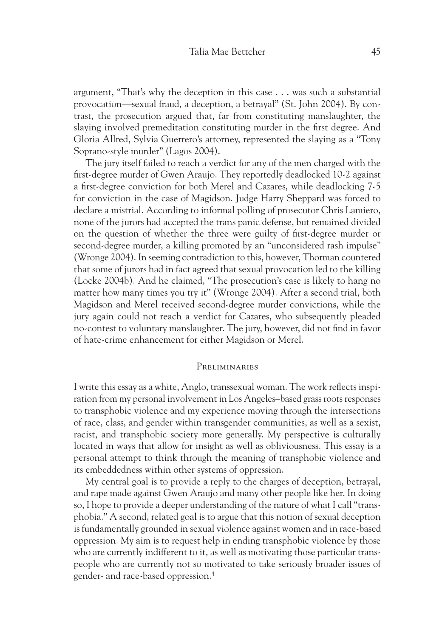argument, "That's why the deception in this case . . . was such a substantial provocation—sexual fraud, a deception, a betrayal" (St. John 2004). By contrast, the prosecution argued that, far from constituting manslaughter, the slaying involved premeditation constituting murder in the first degree. And Gloria Allred, Sylvia Guerrero's attorney, represented the slaying as a "Tony Soprano-style murder" (Lagos 2004).

The jury itself failed to reach a verdict for any of the men charged with the first-degree murder of Gwen Araujo. They reportedly deadlocked 10-2 against a first-degree conviction for both Merel and Cazares, while deadlocking 7-5 for conviction in the case of Magidson. Judge Harry Sheppard was forced to declare a mistrial. According to informal polling of prosecutor Chris Lamiero, none of the jurors had accepted the trans panic defense, but remained divided on the question of whether the three were guilty of first-degree murder or second-degree murder, a killing promoted by an "unconsidered rash impulse" (Wronge 2004). In seeming contradiction to this, however, Thorman countered that some of jurors had in fact agreed that sexual provocation led to the killing (Locke 2004b). And he claimed, "The prosecution's case is likely to hang no matter how many times you try it" (Wronge 2004). After a second trial, both Magidson and Merel received second-degree murder convictions, while the jury again could not reach a verdict for Cazares, who subsequently pleaded no-contest to voluntary manslaughter. The jury, however, did not find in favor of hate-crime enhancement for either Magidson or Merel.

## Preliminaries

I write this essay as a white, Anglo, transsexual woman. The work reflects inspiration from my personal involvement in Los Angeles–based grass roots responses to transphobic violence and my experience moving through the intersections of race, class, and gender within transgender communities, as well as a sexist, racist, and transphobic society more generally. My perspective is culturally located in ways that allow for insight as well as obliviousness. This essay is a personal attempt to think through the meaning of transphobic violence and its embeddedness within other systems of oppression.

My central goal is to provide a reply to the charges of deception, betrayal, and rape made against Gwen Araujo and many other people like her. In doing so, I hope to provide a deeper understanding of the nature of what I call "transphobia." A second, related goal is to argue that this notion of sexual deception is fundamentally grounded in sexual violence against women and in race-based oppression. My aim is to request help in ending transphobic violence by those who are currently indifferent to it, as well as motivating those particular transpeople who are currently not so motivated to take seriously broader issues of gender- and race-based oppression.4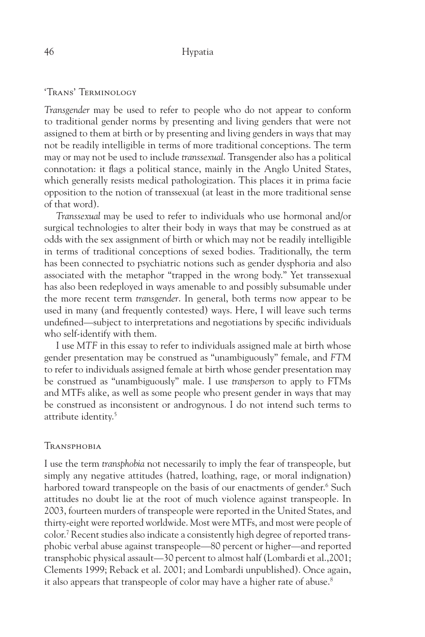## 'Trans' Terminology

*Transgender* may be used to refer to people who do not appear to conform to traditional gender norms by presenting and living genders that were not assigned to them at birth or by presenting and living genders in ways that may not be readily intelligible in terms of more traditional conceptions. The term may or may not be used to include *transsexual*. Transgender also has a political connotation: it flags a political stance, mainly in the Anglo United States, which generally resists medical pathologization. This places it in prima facie opposition to the notion of transsexual (at least in the more traditional sense of that word).

*Transsexual* may be used to refer to individuals who use hormonal and/or surgical technologies to alter their body in ways that may be construed as at odds with the sex assignment of birth or which may not be readily intelligible in terms of traditional conceptions of sexed bodies. Traditionally, the term has been connected to psychiatric notions such as gender dysphoria and also associated with the metaphor "trapped in the wrong body." Yet transsexual has also been redeployed in ways amenable to and possibly subsumable under the more recent term *transgender*. In general, both terms now appear to be used in many (and frequently contested) ways. Here, I will leave such terms undefined—subject to interpretations and negotiations by specific individuals who self-identify with them.

I use *MTF* in this essay to refer to individuals assigned male at birth whose gender presentation may be construed as "unambiguously" female, and *FTM* to refer to individuals assigned female at birth whose gender presentation may be construed as "unambiguously" male. I use *transperson* to apply to FTMs and MTFs alike, as well as some people who present gender in ways that may be construed as inconsistent or androgynous. I do not intend such terms to attribute identity.5

## **TRANSPHOBIA**

I use the term *transphobia* not necessarily to imply the fear of transpeople, but simply any negative attitudes (hatred, loathing, rage, or moral indignation) harbored toward transpeople on the basis of our enactments of gender.<sup>6</sup> Such attitudes no doubt lie at the root of much violence against transpeople. In 2003, fourteen murders of transpeople were reported in the United States, and thirty-eight were reported worldwide. Most were MTFs, and most were people of color.7 Recent studies also indicate a consistently high degree of reported transphobic verbal abuse against transpeople—80 percent or higher—and reported transphobic physical assault—30 percent to almost half (Lombardi et al.,2001; Clements 1999; Reback et al. 2001; and Lombardi unpublished). Once again, it also appears that transpeople of color may have a higher rate of abuse.<sup>8</sup>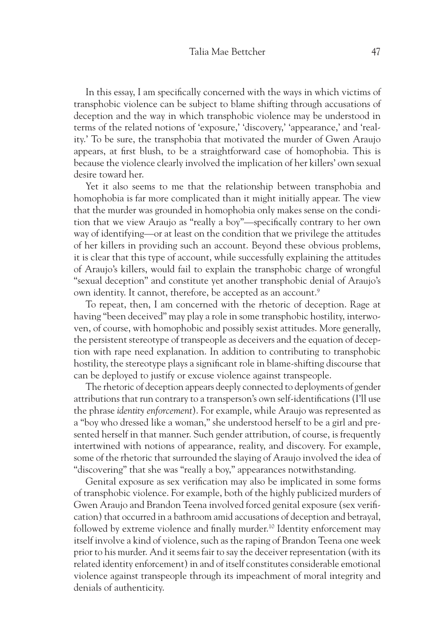In this essay, I am specifically concerned with the ways in which victims of transphobic violence can be subject to blame shifting through accusations of deception and the way in which transphobic violence may be understood in terms of the related notions of 'exposure,' 'discovery,' 'appearance,' and 'reality.' To be sure, the transphobia that motivated the murder of Gwen Araujo appears, at first blush, to be a straightforward case of homophobia. This is because the violence clearly involved the implication of her killers' own sexual desire toward her.

Yet it also seems to me that the relationship between transphobia and homophobia is far more complicated than it might initially appear. The view that the murder was grounded in homophobia only makes sense on the condition that we view Araujo as "really a boy"—specifically contrary to her own way of identifying—or at least on the condition that we privilege the attitudes of her killers in providing such an account. Beyond these obvious problems, it is clear that this type of account, while successfully explaining the attitudes of Araujo's killers, would fail to explain the transphobic charge of wrongful "sexual deception" and constitute yet another transphobic denial of Araujo's own identity. It cannot, therefore, be accepted as an account.<sup>9</sup>

To repeat, then, I am concerned with the rhetoric of deception. Rage at having "been deceived" may play a role in some transphobic hostility, interwoven, of course, with homophobic and possibly sexist attitudes. More generally, the persistent stereotype of transpeople as deceivers and the equation of deception with rape need explanation. In addition to contributing to transphobic hostility, the stereotype plays a significant role in blame-shifting discourse that can be deployed to justify or excuse violence against transpeople.

The rhetoric of deception appears deeply connected to deployments of gender attributions that run contrary to a transperson's own self-identifications (I'll use the phrase *identity enforcement*). For example, while Araujo was represented as a "boy who dressed like a woman," she understood herself to be a girl and presented herself in that manner. Such gender attribution, of course, is frequently intertwined with notions of appearance, reality, and discovery. For example, some of the rhetoric that surrounded the slaying of Araujo involved the idea of "discovering" that she was "really a boy," appearances notwithstanding.

Genital exposure as sex verification may also be implicated in some forms of transphobic violence. For example, both of the highly publicized murders of Gwen Araujo and Brandon Teena involved forced genital exposure (sex verification) that occurred in a bathroom amid accusations of deception and betrayal, followed by extreme violence and finally murder.<sup>10</sup> Identity enforcement may itself involve a kind of violence, such as the raping of Brandon Teena one week prior to his murder. And it seems fair to say the deceiver representation (with its related identity enforcement) in and of itself constitutes considerable emotional violence against transpeople through its impeachment of moral integrity and denials of authenticity.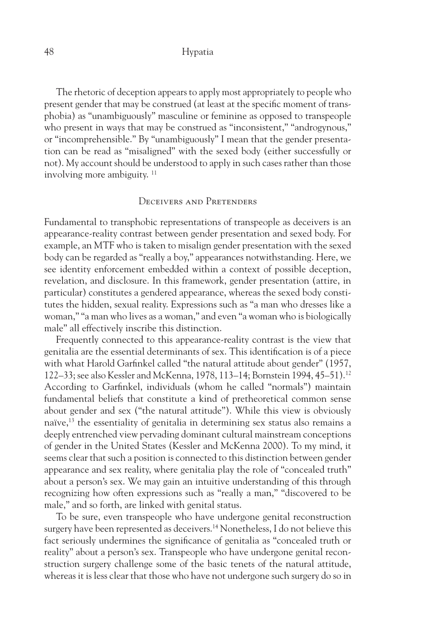The rhetoric of deception appears to apply most appropriately to people who present gender that may be construed (at least at the specific moment of transphobia) as "unambiguously" masculine or feminine as opposed to transpeople who present in ways that may be construed as "inconsistent," "androgynous," or "incomprehensible." By "unambiguously" I mean that the gender presentation can be read as "misaligned" with the sexed body (either successfully or not). My account should be understood to apply in such cases rather than those involving more ambiguity. 11

## Deceivers and Pretenders

Fundamental to transphobic representations of transpeople as deceivers is an appearance-reality contrast between gender presentation and sexed body. For example, an MTF who is taken to misalign gender presentation with the sexed body can be regarded as "really a boy," appearances notwithstanding. Here, we see identity enforcement embedded within a context of possible deception, revelation, and disclosure. In this framework, gender presentation (attire, in particular) constitutes a gendered appearance, whereas the sexed body constitutes the hidden, sexual reality. Expressions such as "a man who dresses like a woman," "a man who lives as a woman," and even "a woman who is biologically male" all effectively inscribe this distinction.

Frequently connected to this appearance-reality contrast is the view that genitalia are the essential determinants of sex. This identification is of a piece with what Harold Garfinkel called "the natural attitude about gender" (1957, 122–33; see also Kessler and McKenna, 1978, 113–14; Bornstein 1994, 45–51).12 According to Garfinkel, individuals (whom he called "normals") maintain fundamental beliefs that constitute a kind of pretheoretical common sense about gender and sex ("the natural attitude"). While this view is obviously naïve,13 the essentiality of genitalia in determining sex status also remains a deeply entrenched view pervading dominant cultural mainstream conceptions of gender in the United States (Kessler and McKenna 2000). To my mind, it seems clear that such a position is connected to this distinction between gender appearance and sex reality, where genitalia play the role of "concealed truth" about a person's sex. We may gain an intuitive understanding of this through recognizing how often expressions such as "really a man," "discovered to be male," and so forth, are linked with genital status.

To be sure, even transpeople who have undergone genital reconstruction surgery have been represented as deceivers.<sup>14</sup> Nonetheless, I do not believe this fact seriously undermines the significance of genitalia as "concealed truth or reality" about a person's sex. Transpeople who have undergone genital reconstruction surgery challenge some of the basic tenets of the natural attitude, whereas it is less clear that those who have not undergone such surgery do so in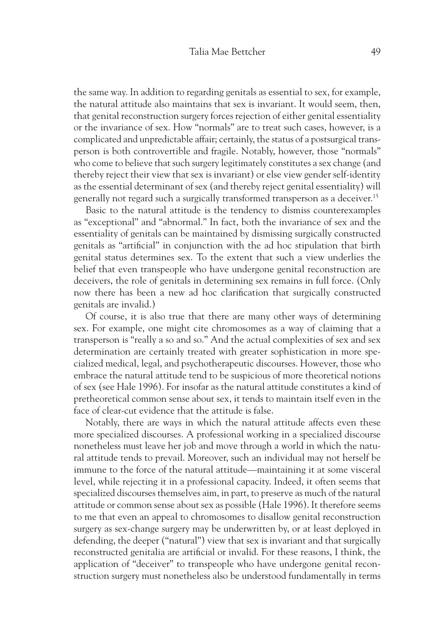the same way. In addition to regarding genitals as essential to sex, for example, the natural attitude also maintains that sex is invariant. It would seem, then, that genital reconstruction surgery forces rejection of either genital essentiality or the invariance of sex. How "normals" are to treat such cases, however, is a complicated and unpredictable affair; certainly, the status of a postsurgical transperson is both controvertible and fragile. Notably, however, those "normals" who come to believe that such surgery legitimately constitutes a sex change (and thereby reject their view that sex is invariant) or else view gender self-identity as the essential determinant of sex (and thereby reject genital essentiality) will generally not regard such a surgically transformed transperson as a deceiver.15

Basic to the natural attitude is the tendency to dismiss counterexamples as "exceptional" and "abnormal." In fact, both the invariance of sex and the essentiality of genitals can be maintained by dismissing surgically constructed genitals as "artificial" in conjunction with the ad hoc stipulation that birth genital status determines sex. To the extent that such a view underlies the belief that even transpeople who have undergone genital reconstruction are deceivers, the role of genitals in determining sex remains in full force. (Only now there has been a new ad hoc clarification that surgically constructed genitals are invalid.)

Of course, it is also true that there are many other ways of determining sex. For example, one might cite chromosomes as a way of claiming that a transperson is "really a so and so." And the actual complexities of sex and sex determination are certainly treated with greater sophistication in more specialized medical, legal, and psychotherapeutic discourses. However, those who embrace the natural attitude tend to be suspicious of more theoretical notions of sex (see Hale 1996). For insofar as the natural attitude constitutes a kind of pretheoretical common sense about sex, it tends to maintain itself even in the face of clear-cut evidence that the attitude is false.

Notably, there are ways in which the natural attitude affects even these more specialized discourses. A professional working in a specialized discourse nonetheless must leave her job and move through a world in which the natural attitude tends to prevail. Moreover, such an individual may not herself be immune to the force of the natural attitude—maintaining it at some visceral level, while rejecting it in a professional capacity. Indeed, it often seems that specialized discourses themselves aim, in part, to preserve as much of the natural attitude or common sense about sex as possible (Hale 1996). It therefore seems to me that even an appeal to chromosomes to disallow genital reconstruction surgery as sex-change surgery may be underwritten by, or at least deployed in defending, the deeper ("natural") view that sex is invariant and that surgically reconstructed genitalia are artificial or invalid. For these reasons, I think, the application of "deceiver" to transpeople who have undergone genital reconstruction surgery must nonetheless also be understood fundamentally in terms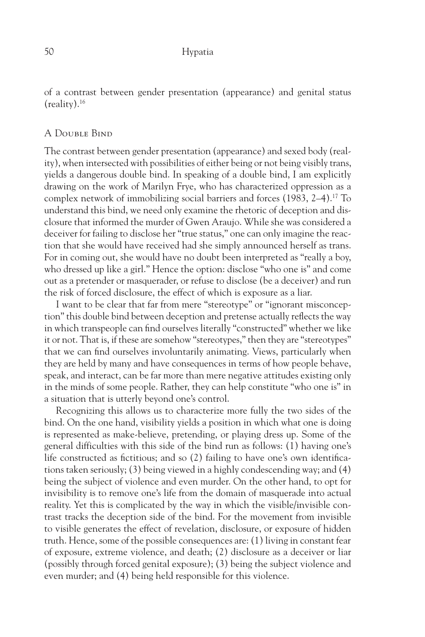of a contrast between gender presentation (appearance) and genital status (reality).16

# A Double Bind

The contrast between gender presentation (appearance) and sexed body (reality), when intersected with possibilities of either being or not being visibly trans, yields a dangerous double bind. In speaking of a double bind, I am explicitly drawing on the work of Marilyn Frye, who has characterized oppression as a complex network of immobilizing social barriers and forces (1983, 2–4).17 To understand this bind, we need only examine the rhetoric of deception and disclosure that informed the murder of Gwen Araujo. While she was considered a deceiver for failing to disclose her "true status," one can only imagine the reaction that she would have received had she simply announced herself as trans. For in coming out, she would have no doubt been interpreted as "really a boy, who dressed up like a girl." Hence the option: disclose "who one is" and come out as a pretender or masquerader, or refuse to disclose (be a deceiver) and run the risk of forced disclosure, the effect of which is exposure as a liar.

I want to be clear that far from mere "stereotype" or "ignorant misconception" this double bind between deception and pretense actually reflects the way in which transpeople can find ourselves literally "constructed" whether we like it or not. That is, if these are somehow "stereotypes," then they are "stereotypes" that we can find ourselves involuntarily animating. Views, particularly when they are held by many and have consequences in terms of how people behave, speak, and interact, can be far more than mere negative attitudes existing only in the minds of some people. Rather, they can help constitute "who one is" in a situation that is utterly beyond one's control.

Recognizing this allows us to characterize more fully the two sides of the bind. On the one hand, visibility yields a position in which what one is doing is represented as make-believe, pretending, or playing dress up. Some of the general difficulties with this side of the bind run as follows: (1) having one's life constructed as fictitious; and so (2) failing to have one's own identifications taken seriously; (3) being viewed in a highly condescending way; and (4) being the subject of violence and even murder. On the other hand, to opt for invisibility is to remove one's life from the domain of masquerade into actual reality. Yet this is complicated by the way in which the visible/invisible contrast tracks the deception side of the bind. For the movement from invisible to visible generates the effect of revelation, disclosure, or exposure of hidden truth. Hence, some of the possible consequences are: (1) living in constant fear of exposure, extreme violence, and death; (2) disclosure as a deceiver or liar (possibly through forced genital exposure); (3) being the subject violence and even murder; and (4) being held responsible for this violence.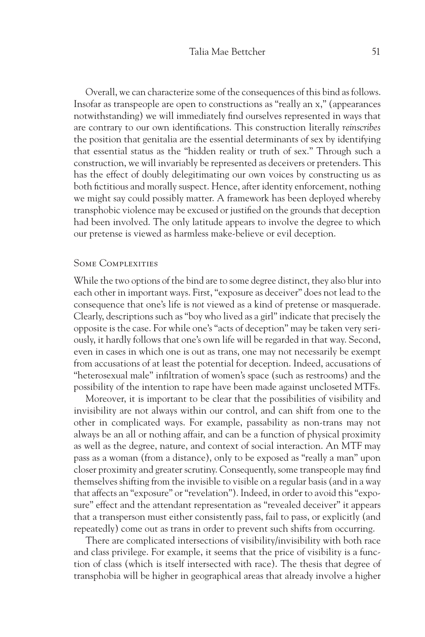Overall, we can characterize some of the consequences of this bind as follows. Insofar as transpeople are open to constructions as "really an x," (appearances notwithstanding) we will immediately find ourselves represented in ways that are contrary to our own identifications. This construction literally *reinscribes* the position that genitalia are the essential determinants of sex by identifying that essential status as the "hidden reality or truth of sex." Through such a construction, we will invariably be represented as deceivers or pretenders. This has the effect of doubly delegitimating our own voices by constructing us as both fictitious and morally suspect. Hence, after identity enforcement, nothing we might say could possibly matter. A framework has been deployed whereby transphobic violence may be excused or justified on the grounds that deception had been involved. The only latitude appears to involve the degree to which our pretense is viewed as harmless make-believe or evil deception.

## Some Complexities

While the two options of the bind are to some degree distinct, they also blur into each other in important ways. First, "exposure as deceiver" does not lead to the consequence that one's life is *not* viewed as a kind of pretense or masquerade. Clearly, descriptions such as "boy who lived as a girl" indicate that precisely the opposite is the case. For while one's "acts of deception" may be taken very seriously, it hardly follows that one's own life will be regarded in that way. Second, even in cases in which one is out as trans, one may not necessarily be exempt from accusations of at least the potential for deception. Indeed, accusations of "heterosexual male" infiltration of women's space (such as restrooms) and the possibility of the intention to rape have been made against uncloseted MTFs.

Moreover, it is important to be clear that the possibilities of visibility and invisibility are not always within our control, and can shift from one to the other in complicated ways. For example, passability as non-trans may not always be an all or nothing affair, and can be a function of physical proximity as well as the degree, nature, and context of social interaction. An MTF may pass as a woman (from a distance), only to be exposed as "really a man" upon closer proximity and greater scrutiny. Consequently, some transpeople may find themselves shifting from the invisible to visible on a regular basis (and in a way that affects an "exposure" or "revelation"). Indeed, in order to avoid this "exposure" effect and the attendant representation as "revealed deceiver" it appears that a transperson must either consistently pass, fail to pass, or explicitly (and repeatedly) come out as trans in order to prevent such shifts from occurring.

There are complicated intersections of visibility/invisibility with both race and class privilege. For example, it seems that the price of visibility is a function of class (which is itself intersected with race). The thesis that degree of transphobia will be higher in geographical areas that already involve a higher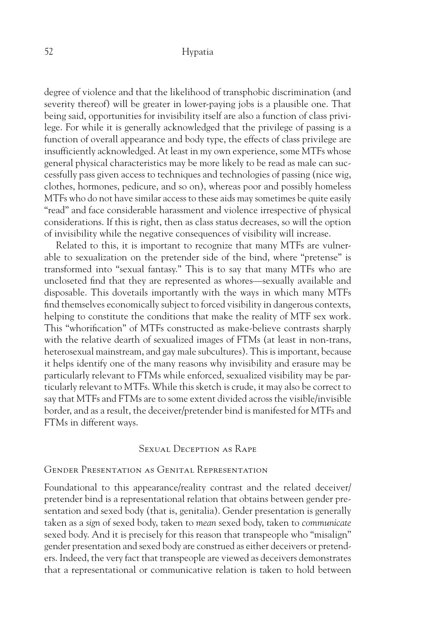degree of violence and that the likelihood of transphobic discrimination (and severity thereof) will be greater in lower-paying jobs is a plausible one. That being said, opportunities for invisibility itself are also a function of class privilege. For while it is generally acknowledged that the privilege of passing is a function of overall appearance and body type, the effects of class privilege are insufficiently acknowledged. At least in my own experience, some MTFs whose general physical characteristics may be more likely to be read as male can successfully pass given access to techniques and technologies of passing (nice wig, clothes, hormones, pedicure, and so on), whereas poor and possibly homeless MTFs who do not have similar access to these aids may sometimes be quite easily "read" and face considerable harassment and violence irrespective of physical considerations. If this is right, then as class status decreases, so will the option of invisibility while the negative consequences of visibility will increase.

Related to this, it is important to recognize that many MTFs are vulnerable to sexualization on the pretender side of the bind, where "pretense" is transformed into "sexual fantasy." This is to say that many MTFs who are uncloseted find that they are represented as whores—sexually available and disposable. This dovetails importantly with the ways in which many MTFs find themselves economically subject to forced visibility in dangerous contexts, helping to constitute the conditions that make the reality of MTF sex work. This "whorification" of MTFs constructed as make-believe contrasts sharply with the relative dearth of sexualized images of FTMs (at least in non-trans, heterosexual mainstream, and gay male subcultures). This is important, because it helps identify one of the many reasons why invisibility and erasure may be particularly relevant to FTMs while enforced, sexualized visibility may be particularly relevant to MTFs. While this sketch is crude, it may also be correct to say that MTFs and FTMs are to some extent divided across the visible/invisible border, and as a result, the deceiver/pretender bind is manifested for MTFs and FTMs in different ways.

## SEXUAL DECEPTION AS RAPE

## Gender Presentation as Genital Representation

Foundational to this appearance/reality contrast and the related deceiver/ pretender bind is a representational relation that obtains between gender presentation and sexed body (that is, genitalia). Gender presentation is generally taken as a *sign* of sexed body, taken to *mean* sexed body, taken to *communicate*  sexed body. And it is precisely for this reason that transpeople who "misalign" gender presentation and sexed body are construed as either deceivers or pretenders. Indeed, the very fact that transpeople are viewed as deceivers demonstrates that a representational or communicative relation is taken to hold between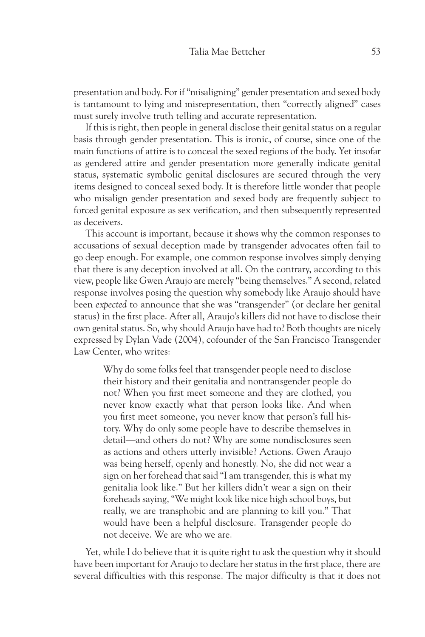presentation and body. For if "misaligning" gender presentation and sexed body is tantamount to lying and misrepresentation, then "correctly aligned" cases must surely involve truth telling and accurate representation.

If this is right, then people in general disclose their genital status on a regular basis through gender presentation. This is ironic, of course, since one of the main functions of attire is to conceal the sexed regions of the body. Yet insofar as gendered attire and gender presentation more generally indicate genital status, systematic symbolic genital disclosures are secured through the very items designed to conceal sexed body. It is therefore little wonder that people who misalign gender presentation and sexed body are frequently subject to forced genital exposure as sex verification, and then subsequently represented as deceivers.

This account is important, because it shows why the common responses to accusations of sexual deception made by transgender advocates often fail to go deep enough. For example, one common response involves simply denying that there is any deception involved at all. On the contrary, according to this view, people like Gwen Araujo are merely "being themselves." A second, related response involves posing the question why somebody like Araujo should have been *expected* to announce that she was "transgender" (or declare her genital status) in the first place. After all, Araujo's killers did not have to disclose their own genital status. So, why should Araujo have had to? Both thoughts are nicely expressed by Dylan Vade (2004), cofounder of the San Francisco Transgender Law Center, who writes:

Why do some folks feel that transgender people need to disclose their history and their genitalia and nontransgender people do not? When you first meet someone and they are clothed, you never know exactly what that person looks like. And when you first meet someone, you never know that person's full history. Why do only some people have to describe themselves in detail—and others do not? Why are some nondisclosures seen as actions and others utterly invisible? Actions. Gwen Araujo was being herself, openly and honestly. No, she did not wear a sign on her forehead that said "I am transgender, this is what my genitalia look like." But her killers didn't wear a sign on their foreheads saying, "We might look like nice high school boys, but really, we are transphobic and are planning to kill you." That would have been a helpful disclosure. Transgender people do not deceive. We are who we are.

Yet, while I do believe that it is quite right to ask the question why it should have been important for Araujo to declare her status in the first place, there are several difficulties with this response. The major difficulty is that it does not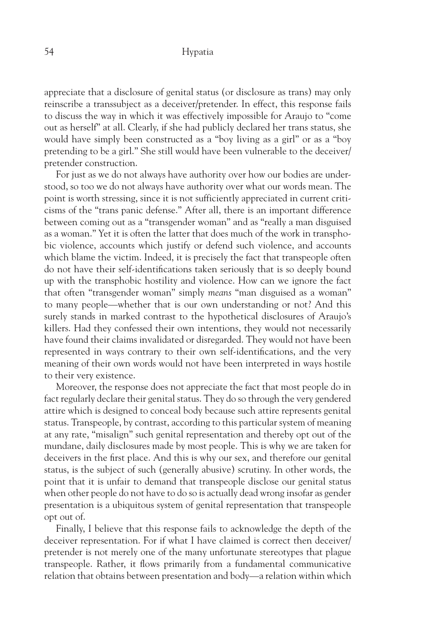appreciate that a disclosure of genital status (or disclosure as trans) may only reinscribe a transsubject as a deceiver/pretender. In effect, this response fails to discuss the way in which it was effectively impossible for Araujo to "come out as herself" at all. Clearly, if she had publicly declared her trans status, she would have simply been constructed as a "boy living as a girl" or as a "boy pretending to be a girl." She still would have been vulnerable to the deceiver/ pretender construction.

For just as we do not always have authority over how our bodies are understood, so too we do not always have authority over what our words mean. The point is worth stressing, since it is not sufficiently appreciated in current criticisms of the "trans panic defense." After all, there is an important difference between coming out as a "transgender woman" and as "really a man disguised as a woman." Yet it is often the latter that does much of the work in transphobic violence, accounts which justify or defend such violence, and accounts which blame the victim. Indeed, it is precisely the fact that transpeople often do not have their self-identifications taken seriously that is so deeply bound up with the transphobic hostility and violence. How can we ignore the fact that often "transgender woman" simply *means* "man disguised as a woman" to many people—whether that is our own understanding or not? And this surely stands in marked contrast to the hypothetical disclosures of Araujo's killers. Had they confessed their own intentions, they would not necessarily have found their claims invalidated or disregarded. They would not have been represented in ways contrary to their own self-identifications, and the very meaning of their own words would not have been interpreted in ways hostile to their very existence.

Moreover, the response does not appreciate the fact that most people do in fact regularly declare their genital status. They do so through the very gendered attire which is designed to conceal body because such attire represents genital status. Transpeople, by contrast, according to this particular system of meaning at any rate, "misalign" such genital representation and thereby opt out of the mundane, daily disclosures made by most people. This is why we are taken for deceivers in the first place. And this is why our sex, and therefore our genital status, is the subject of such (generally abusive) scrutiny. In other words, the point that it is unfair to demand that transpeople disclose our genital status when other people do not have to do so is actually dead wrong insofar as gender presentation is a ubiquitous system of genital representation that transpeople opt out of.

Finally, I believe that this response fails to acknowledge the depth of the deceiver representation. For if what I have claimed is correct then deceiver/ pretender is not merely one of the many unfortunate stereotypes that plague transpeople. Rather, it flows primarily from a fundamental communicative relation that obtains between presentation and body—a relation within which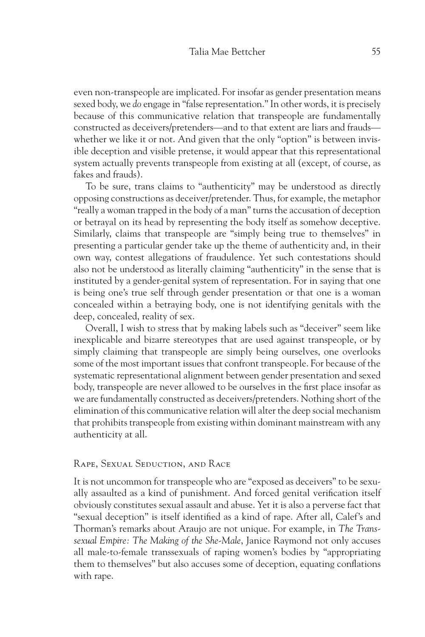even non-transpeople are implicated. For insofar as gender presentation means sexed body, we *do* engage in "false representation." In other words, it is precisely because of this communicative relation that transpeople are fundamentally constructed as deceivers/pretenders—and to that extent are liars and frauds whether we like it or not. And given that the only "option" is between invisible deception and visible pretense, it would appear that this representational system actually prevents transpeople from existing at all (except, of course, as fakes and frauds).

To be sure, trans claims to "authenticity" may be understood as directly opposing constructions as deceiver/pretender. Thus, for example, the metaphor "really a woman trapped in the body of a man" turns the accusation of deception or betrayal on its head by representing the body itself as somehow deceptive. Similarly, claims that transpeople are "simply being true to themselves" in presenting a particular gender take up the theme of authenticity and, in their own way, contest allegations of fraudulence. Yet such contestations should also not be understood as literally claiming "authenticity" in the sense that is instituted by a gender-genital system of representation. For in saying that one is being one's true self through gender presentation or that one is a woman concealed within a betraying body, one is not identifying genitals with the deep, concealed, reality of sex.

Overall, I wish to stress that by making labels such as "deceiver" seem like inexplicable and bizarre stereotypes that are used against transpeople, or by simply claiming that transpeople are simply being ourselves, one overlooks some of the most important issues that confront transpeople. For because of the systematic representational alignment between gender presentation and sexed body, transpeople are never allowed to be ourselves in the first place insofar as we are fundamentally constructed as deceivers/pretenders. Nothing short of the elimination of this communicative relation will alter the deep social mechanism that prohibits transpeople from existing within dominant mainstream with any authenticity at all.

## Rape, Sexual Seduction, and Race

It is not uncommon for transpeople who are "exposed as deceivers" to be sexually assaulted as a kind of punishment. And forced genital verification itself obviously constitutes sexual assault and abuse. Yet it is also a perverse fact that "sexual deception" is itself identified as a kind of rape. After all, Calef's and Thorman's remarks about Araujo are not unique. For example, in *The Transsexual Empire: The Making of the She-Male*, Janice Raymond not only accuses all male-to-female transsexuals of raping women's bodies by "appropriating them to themselves" but also accuses some of deception, equating conflations with rape.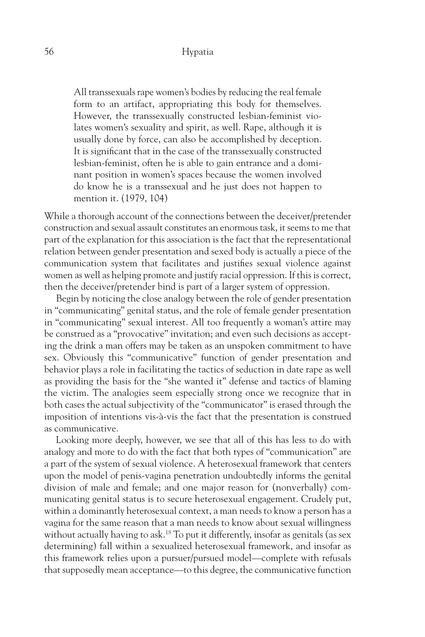All transsexuals rape women's bodies by reducing the real female form to an artifact, appropriating this body for themselves. However, the transsexually constructed lesbian-feminist violates women's sexuality and spirit, as well. Rape, although it is usually done by force, can also be accomplished by deception. It is significant that in the case of the transsexually constructed lesbian-feminist, often he is able to gain entrance and a dominant position in women's spaces because the women involved do know he is a transsexual and he just does not happen to mention it. (1979, 104)

While a thorough account of the connections between the deceiver/pretender construction and sexual assault constitutes an enormous task, it seems to me that part of the explanation for this association is the fact that the representational relation between gender presentation and sexed body is actually a piece of the communication system that facilitates and justifies sexual violence against women as well as helping promote and justify racial oppression. If this is correct, then the deceiver/pretender bind is part of a larger system of oppression.

Begin by noticing the close analogy between the role of gender presentation in "communicating" genital status, and the role of female gender presentation in "communicating" sexual interest. All too frequently a woman's attire may be construed as a "provocative" invitation; and even such decisions as accepting the drink a man offers may be taken as an unspoken commitment to have sex. Obviously this "communicative" function of gender presentation and behavior plays a role in facilitating the tactics of seduction in date rape as well as providing the basis for the "she wanted it" defense and tactics of blaming the victim. The analogies seem especially strong once we recognize that in both cases the actual subjectivity of the "communicator" is erased through the imposition of intentions vis-à-vis the fact that the presentation is construed as communicative.

Looking more deeply, however, we see that all of this has less to do with analogy and more to do with the fact that both types of "communication" are a part of the system of sexual violence. A heterosexual framework that centers upon the model of penis-vagina penetration undoubtedly informs the genital division of male and female; and one major reason for (nonverbally) communicating genital status is to secure heterosexual engagement. Crudely put, within a dominantly heterosexual context, a man needs to know a person has a vagina for the same reason that a man needs to know about sexual willingness without actually having to ask.<sup>18</sup> To put it differently, insofar as genitals (as sex determining) fall within a sexualized heterosexual framework, and insofar as this framework relies upon a pursuer/pursued model—complete with refusals that supposedly mean acceptance—to this degree, the communicative function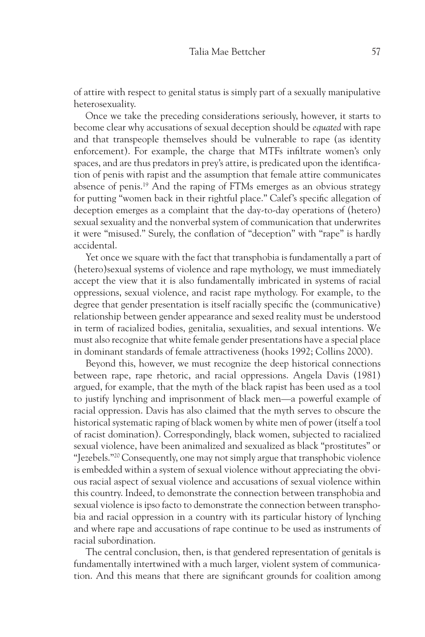of attire with respect to genital status is simply part of a sexually manipulative heterosexuality.

Once we take the preceding considerations seriously, however, it starts to become clear why accusations of sexual deception should be *equated* with rape and that transpeople themselves should be vulnerable to rape (as identity enforcement). For example, the charge that MTFs infiltrate women's only spaces, and are thus predators in prey's attire, is predicated upon the identification of penis with rapist and the assumption that female attire communicates absence of penis.19 And the raping of FTMs emerges as an obvious strategy for putting "women back in their rightful place." Calef's specific allegation of deception emerges as a complaint that the day-to-day operations of (hetero) sexual sexuality and the nonverbal system of communication that underwrites it were "misused." Surely, the conflation of "deception" with "rape" is hardly accidental.

Yet once we square with the fact that transphobia is fundamentally a part of (hetero)sexual systems of violence and rape mythology, we must immediately accept the view that it is also fundamentally imbricated in systems of racial oppressions, sexual violence, and racist rape mythology. For example, to the degree that gender presentation is itself racially specific the (communicative) relationship between gender appearance and sexed reality must be understood in term of racialized bodies, genitalia, sexualities, and sexual intentions. We must also recognize that white female gender presentations have a special place in dominant standards of female attractiveness (hooks 1992; Collins 2000).

Beyond this, however, we must recognize the deep historical connections between rape, rape rhetoric, and racial oppressions. Angela Davis (1981) argued, for example, that the myth of the black rapist has been used as a tool to justify lynching and imprisonment of black men—a powerful example of racial oppression. Davis has also claimed that the myth serves to obscure the historical systematic raping of black women by white men of power (itself a tool of racist domination). Correspondingly, black women, subjected to racialized sexual violence, have been animalized and sexualized as black "prostitutes" or "Jezebels."20 Consequently, one may not simply argue that transphobic violence is embedded within a system of sexual violence without appreciating the obvious racial aspect of sexual violence and accusations of sexual violence within this country. Indeed, to demonstrate the connection between transphobia and sexual violence is ipso facto to demonstrate the connection between transphobia and racial oppression in a country with its particular history of lynching and where rape and accusations of rape continue to be used as instruments of racial subordination.

The central conclusion, then, is that gendered representation of genitals is fundamentally intertwined with a much larger, violent system of communication. And this means that there are significant grounds for coalition among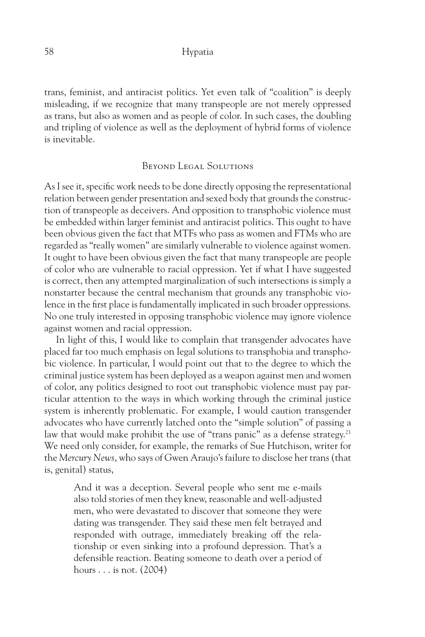trans, feminist, and antiracist politics. Yet even talk of "coalition" is deeply misleading, if we recognize that many transpeople are not merely oppressed as trans, but also as women and as people of color. In such cases, the doubling and tripling of violence as well as the deployment of hybrid forms of violence is inevitable.

# Beyond Legal Solutions

As I see it, specific work needs to be done directly opposing the representational relation between gender presentation and sexed body that grounds the construction of transpeople as deceivers. And opposition to transphobic violence must be embedded within larger feminist and antiracist politics. This ought to have been obvious given the fact that MTFs who pass as women and FTMs who are regarded as "really women" are similarly vulnerable to violence against women. It ought to have been obvious given the fact that many transpeople are people of color who are vulnerable to racial oppression. Yet if what I have suggested is correct, then any attempted marginalization of such intersections is simply a nonstarter because the central mechanism that grounds any transphobic violence in the first place is fundamentally implicated in such broader oppressions. No one truly interested in opposing transphobic violence may ignore violence against women and racial oppression.

In light of this, I would like to complain that transgender advocates have placed far too much emphasis on legal solutions to transphobia and transphobic violence. In particular, I would point out that to the degree to which the criminal justice system has been deployed as a weapon against men and women of color, any politics designed to root out transphobic violence must pay particular attention to the ways in which working through the criminal justice system is inherently problematic. For example, I would caution transgender advocates who have currently latched onto the "simple solution" of passing a law that would make prohibit the use of "trans panic" as a defense strategy.<sup>21</sup> We need only consider, for example, the remarks of Sue Hutchison, writer for the *Mercury News*, who says of Gwen Araujo's failure to disclose her trans (that is, genital) status,

And it was a deception. Several people who sent me e-mails also told stories of men they knew, reasonable and well-adjusted men, who were devastated to discover that someone they were dating was transgender. They said these men felt betrayed and responded with outrage, immediately breaking off the relationship or even sinking into a profound depression. That's a defensible reaction. Beating someone to death over a period of hours . . . is not. (2004)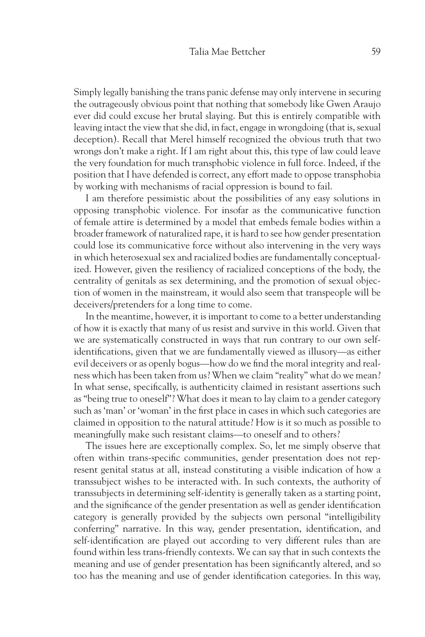Simply legally banishing the trans panic defense may only intervene in securing the outrageously obvious point that nothing that somebody like Gwen Araujo ever did could excuse her brutal slaying. But this is entirely compatible with leaving intact the view that she did, in fact, engage in wrongdoing (that is, sexual deception). Recall that Merel himself recognized the obvious truth that two wrongs don't make a right. If I am right about this, this type of law could leave the very foundation for much transphobic violence in full force. Indeed, if the position that I have defended is correct, any effort made to oppose transphobia by working with mechanisms of racial oppression is bound to fail.

I am therefore pessimistic about the possibilities of any easy solutions in opposing transphobic violence. For insofar as the communicative function of female attire is determined by a model that embeds female bodies within a broader framework of naturalized rape, it is hard to see how gender presentation could lose its communicative force without also intervening in the very ways in which heterosexual sex and racialized bodies are fundamentally conceptualized. However, given the resiliency of racialized conceptions of the body, the centrality of genitals as sex determining, and the promotion of sexual objection of women in the mainstream, it would also seem that transpeople will be deceivers/pretenders for a long time to come.

In the meantime, however, it is important to come to a better understanding of how it is exactly that many of us resist and survive in this world. Given that we are systematically constructed in ways that run contrary to our own selfidentifications, given that we are fundamentally viewed as illusory—as either evil deceivers or as openly bogus—how do we find the moral integrity and realness which has been taken from us? When we claim "reality" what do we mean? In what sense, specifically, is authenticity claimed in resistant assertions such as "being true to oneself"? What does it mean to lay claim to a gender category such as 'man' or 'woman' in the first place in cases in which such categories are claimed in opposition to the natural attitude? How is it so much as possible to meaningfully make such resistant claims—to oneself and to others?

The issues here are exceptionally complex. So, let me simply observe that often within trans-specific communities, gender presentation does not represent genital status at all, instead constituting a visible indication of how a transsubject wishes to be interacted with. In such contexts, the authority of transsubjects in determining self-identity is generally taken as a starting point, and the significance of the gender presentation as well as gender identification category is generally provided by the subjects own personal "intelligibility conferring" narrative. In this way, gender presentation, identification, and self-identification are played out according to very different rules than are found within less trans-friendly contexts. We can say that in such contexts the meaning and use of gender presentation has been significantly altered, and so too has the meaning and use of gender identification categories. In this way,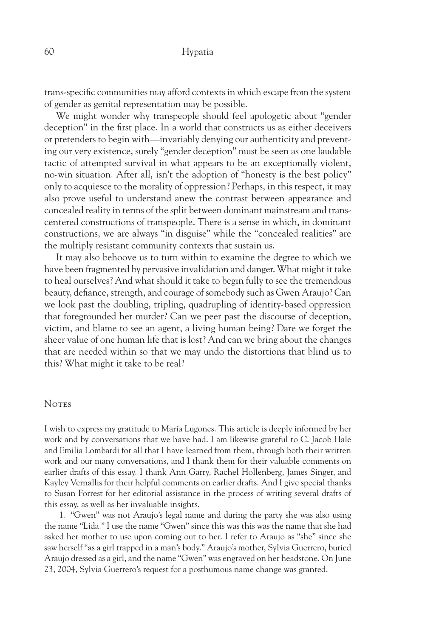trans-specific communities may afford contexts in which escape from the system of gender as genital representation may be possible.

We might wonder why transpeople should feel apologetic about "gender deception" in the first place. In a world that constructs us as either deceivers or pretenders to begin with—invariably denying our authenticity and preventing our very existence, surely "gender deception" must be seen as one laudable tactic of attempted survival in what appears to be an exceptionally violent, no-win situation. After all, isn't the adoption of "honesty is the best policy" only to acquiesce to the morality of oppression? Perhaps, in this respect, it may also prove useful to understand anew the contrast between appearance and concealed reality in terms of the split between dominant mainstream and transcentered constructions of transpeople. There is a sense in which, in dominant constructions, we are always "in disguise" while the "concealed realities" are the multiply resistant community contexts that sustain us.

It may also behoove us to turn within to examine the degree to which we have been fragmented by pervasive invalidation and danger. What might it take to heal ourselves? And what should it take to begin fully to see the tremendous beauty, defiance, strength, and courage of somebody such as Gwen Araujo? Can we look past the doubling, tripling, quadrupling of identity-based oppression that foregrounded her murder? Can we peer past the discourse of deception, victim, and blame to see an agent, a living human being? Dare we forget the sheer value of one human life that is lost? And can we bring about the changes that are needed within so that we may undo the distortions that blind us to this? What might it take to be real?

## **NOTES**

I wish to express my gratitude to María Lugones. This article is deeply informed by her work and by conversations that we have had. I am likewise grateful to C. Jacob Hale and Emilia Lombardi for all that I have learned from them, through both their written work and our many conversations, and I thank them for their valuable comments on earlier drafts of this essay. I thank Ann Garry, Rachel Hollenberg, James Singer, and Kayley Vernallis for their helpful comments on earlier drafts. And I give special thanks to Susan Forrest for her editorial assistance in the process of writing several drafts of this essay, as well as her invaluable insights.

1. "Gwen" was not Araujo's legal name and during the party she was also using the name "Lida." I use the name "Gwen" since this was this was the name that she had asked her mother to use upon coming out to her. I refer to Araujo as "she" since she saw herself "as a girl trapped in a man's body." Araujo's mother, Sylvia Guerrero, buried Araujo dressed as a girl, and the name "Gwen" was engraved on her headstone. On June 23, 2004, Sylvia Guerrero's request for a posthumous name change was granted.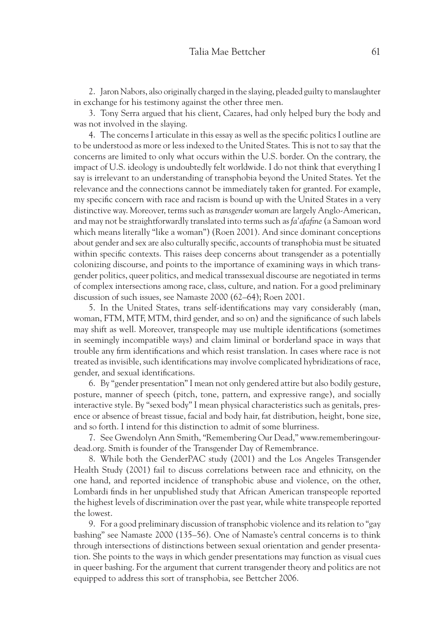2. Jaron Nabors, also originally charged in the slaying, pleaded guilty to manslaughter in exchange for his testimony against the other three men.

3. Tony Serra argued that his client, Cazares, had only helped bury the body and was not involved in the slaying.

4. The concerns I articulate in this essay as well as the specific politics I outline are to be understood as more or less indexed to the United States. This is not to say that the concerns are limited to only what occurs within the U.S. border. On the contrary, the impact of U.S. ideology is undoubtedly felt worldwide. I do not think that everything I say is irrelevant to an understanding of transphobia beyond the United States. Yet the relevance and the connections cannot be immediately taken for granted. For example, my specific concern with race and racism is bound up with the United States in a very distinctive way. Moreover, terms such as *transgender woman* are largely Anglo-American, and may not be straightforwardly translated into terms such as *fa'afafine* (a Samoan word which means literally "like a woman") (Roen 2001). And since dominant conceptions about gender and sex are also culturally specific, accounts of transphobia must be situated within specific contexts. This raises deep concerns about transgender as a potentially colonizing discourse, and points to the importance of examining ways in which transgender politics, queer politics, and medical transsexual discourse are negotiated in terms of complex intersections among race, class, culture, and nation. For a good preliminary discussion of such issues, see Namaste 2000 (62–64); Roen 2001.

5. In the United States, trans self-identifications may vary considerably (man, woman, FTM, MTF, MTM, third gender, and so on) and the significance of such labels may shift as well. Moreover, transpeople may use multiple identifications (sometimes in seemingly incompatible ways) and claim liminal or borderland space in ways that trouble any firm identifications and which resist translation. In cases where race is not treated as invisible, such identifications may involve complicated hybridizations of race, gender, and sexual identifications.

6. By "gender presentation" I mean not only gendered attire but also bodily gesture, posture, manner of speech (pitch, tone, pattern, and expressive range), and socially interactive style. By "sexed body" I mean physical characteristics such as genitals, presence or absence of breast tissue, facial and body hair, fat distribution, height, bone size, and so forth. I intend for this distinction to admit of some blurriness.

7. See Gwendolyn Ann Smith, "Remembering Our Dead," www.rememberingourdead.org. Smith is founder of the Transgender Day of Remembrance.

8. While both the GenderPAC study (2001) and the Los Angeles Transgender Health Study (2001) fail to discuss correlations between race and ethnicity, on the one hand, and reported incidence of transphobic abuse and violence, on the other, Lombardi finds in her unpublished study that African American transpeople reported the highest levels of discrimination over the past year, while white transpeople reported the lowest.

9. For a good preliminary discussion of transphobic violence and its relation to "gay bashing" see Namaste 2000 (135–56). One of Namaste's central concerns is to think through intersections of distinctions between sexual orientation and gender presentation. She points to the ways in which gender presentations may function as visual cues in queer bashing. For the argument that current transgender theory and politics are not equipped to address this sort of transphobia, see Bettcher 2006.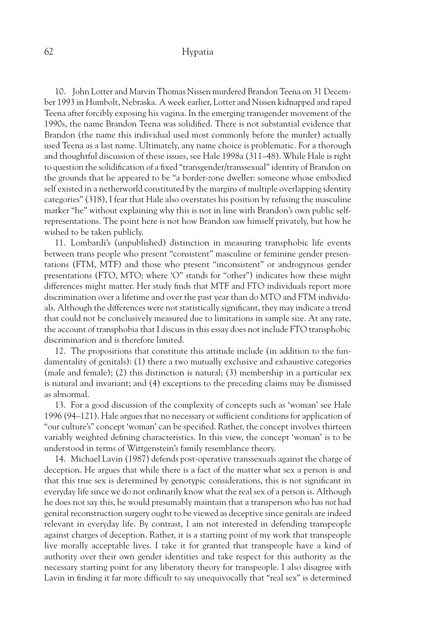10. John Lotter and Marvin Thomas Nissen murdered Brandon Teena on 31 December 1993 in Humbolt, Nebraska. A week earlier, Lotter and Nissen kidnapped and raped Teena after forcibly exposing his vagina. In the emerging transgender movement of the 1990s, the name Brandon Teena was solidified. There is not substantial evidence that Brandon (the name this individual used most commonly before the murder) actually used Teena as a last name. Ultimately, any name choice is problematic. For a thorough and thoughtful discussion of these issues, see Hale 1998a (311–48). While Hale is right to question the solidification of a fixed "transgender/transsexual" identity of Brandon on the grounds that he appeared to be "a border-zone dweller: someone whose embodied self existed in a netherworld constituted by the margins of multiple overlapping identity categories" (318), I fear that Hale also overstates his position by refusing the masculine marker "he" without explaining why this is not in line with Brandon's own public selfrepresentations. The point here is not how Brandon saw himself privately, but how he wished to be taken publicly.

11. Lombardi's (unpublished) distinction in measuring transphobic life events between trans people who present "consistent" masculine or feminine gender presentations (FTM, MTF) and those who present "inconsistent" or androgynous gender presentations (FTO, MTO; where 'O" stands for "other") indicates how these might differences might matter. Her study finds that MTF and FTO individuals report more discrimination over a lifetime and over the past year than do MTO and FTM individuals. Although the differences were not statistically significant, they may indicate a trend that could not be conclusively measured due to limitations in sample size. At any rate, the account of transphobia that I discuss in this essay does not include FTO transphobic discrimination and is therefore limited.

12. The propositions that constitute this attitude include (in addition to the fundamentality of genitals): (1) there a two mutually exclusive and exhaustive categories (male and female); (2) this distinction is natural; (3) membership in a particular sex is natural and invariant; and (4) exceptions to the preceding claims may be dismissed as abnormal.

13. For a good discussion of the complexity of concepts such as 'woman' see Hale 1996 (94–121). Hale argues that no necessary or sufficient conditions for application of "our culture's" concept 'woman' can be specified. Rather, the concept involves thirteen variably weighted defining characteristics. In this view, the concept 'woman' is to be understood in terms of Wittgenstein's family resemblance theory.

14. Michael Lavin (1987) defends post-operative transsexuals against the charge of deception. He argues that while there is a fact of the matter what sex a person is and that this true sex is determined by genotypic considerations, this is not significant in everyday life since we do not ordinarily know what the real sex of a person is. Although he does not say this, he would presumably maintain that a transperson who has *not* had genital reconstruction surgery ought to be viewed as deceptive since genitals are indeed relevant in everyday life. By contrast, I am not interested in defending transpeople against charges of deception. Rather, it is a starting point of my work that transpeople live morally acceptable lives. I take it for granted that transpeople have a kind of authority over their own gender identities and take respect for this authority as the necessary starting point for any liberatory theory for transpeople. I also disagree with Lavin in finding it far more difficult to say unequivocally that "real sex" is determined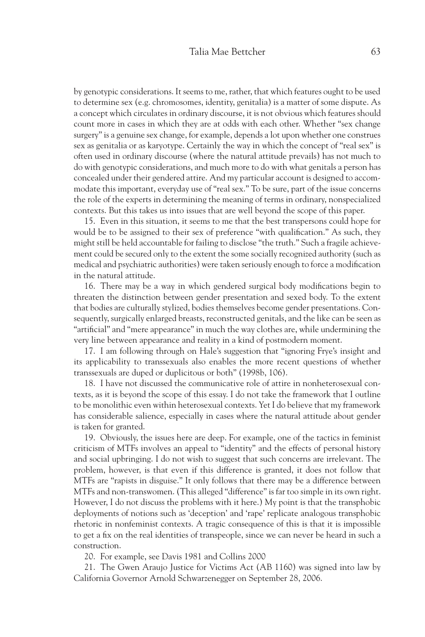by genotypic considerations. It seems to me, rather, that which features ought to be used to determine sex (e.g. chromosomes, identity, genitalia) is a matter of some dispute. As a concept which circulates in ordinary discourse, it is not obvious which features should count more in cases in which they are at odds with each other. Whether "sex change surgery" is a genuine sex change, for example, depends a lot upon whether one construes sex as genitalia or as karyotype. Certainly the way in which the concept of "real sex" is often used in ordinary discourse (where the natural attitude prevails) has not much to do with genotypic considerations, and much more to do with what genitals a person has concealed under their gendered attire. And my particular account is designed to accommodate this important, everyday use of "real sex." To be sure, part of the issue concerns the role of the experts in determining the meaning of terms in ordinary, nonspecialized contexts. But this takes us into issues that are well beyond the scope of this paper.

15. Even in this situation, it seems to me that the best transpersons could hope for would be to be assigned to their sex of preference "with qualification." As such, they might still be held accountable for failing to disclose "the truth." Such a fragile achievement could be secured only to the extent the some socially recognized authority (such as medical and psychiatric authorities) were taken seriously enough to force a modification in the natural attitude.

16. There may be a way in which gendered surgical body modifications begin to threaten the distinction between gender presentation and sexed body. To the extent that bodies are culturally stylized, bodies themselves become gender presentations. Consequently, surgically enlarged breasts, reconstructed genitals, and the like can be seen as "artificial" and "mere appearance" in much the way clothes are, while undermining the very line between appearance and reality in a kind of postmodern moment.

17. I am following through on Hale's suggestion that "ignoring Frye's insight and its applicability to transsexuals also enables the more recent questions of whether transsexuals are duped or duplicitous or both" (1998b, 106).

18. I have not discussed the communicative role of attire in nonheterosexual contexts, as it is beyond the scope of this essay. I do not take the framework that I outline to be monolithic even within heterosexual contexts. Yet I do believe that my framework has considerable salience, especially in cases where the natural attitude about gender is taken for granted.

19. Obviously, the issues here are deep. For example, one of the tactics in feminist criticism of MTFs involves an appeal to "identity" and the effects of personal history and social upbringing. I do not wish to suggest that such concerns are irrelevant. The problem, however, is that even if this difference is granted, it does not follow that MTFs are "rapists in disguise." It only follows that there may be a difference between MTFs and non-transwomen. (This alleged "difference" is far too simple in its own right. However, I do not discuss the problems with it here.) My point is that the transphobic deployments of notions such as 'deception' and 'rape' replicate analogous transphobic rhetoric in nonfeminist contexts. A tragic consequence of this is that it is impossible to get a fix on the real identities of transpeople, since we can never be heard in such a construction.

20. For example, see Davis 1981 and Collins 2000

21. The Gwen Araujo Justice for Victims Act (AB 1160) was signed into law by California Governor Arnold Schwarzenegger on September 28, 2006.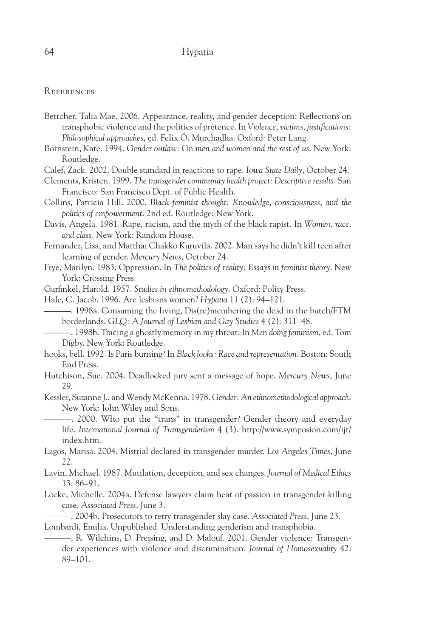#### **REFERENCES**

- Bettcher, Talia Mae. 2006. Appearance, reality, and gender deception: Reflections on transphobic violence and the politics of pretence. In *Violence*, *victims*, *justifications: Philosophical approaches*, ed. Felix Ó. Murchadha. Oxford: Peter Lang.
- Bornstein, Kate. 1994. *Gender outlaw: On men and women and the rest of us*. New York: Routledge.

Calef, Zack. 2002. Double standard in reactions to rape. *Iowa State Daily*, October 24.

Clements, Kristen. 1999. *The transgender community health project: Descriptive results*. San Francisco: San Francisco Dept. of Public Health.

Collins, Patricia Hill. 2000. *Black feminist thought: Knowledge*, *consciousness*, *and the politics of empowerment*. 2nd ed. Routledge: New York.

Davis, Angela. 1981. Rape, racism, and the myth of the black rapist. In *Women*, *race*, *and class*. New York: Random House.

Fernandez, Lisa, and Matthai Chakko Kuruvila. 2002. Man says he didn't kill teen after learning of gender. *Mercury News*, October 24.

Frye, Marilyn. 1983. Oppression. In *The politics of reality: Essays in feminist theory*. New York: Crossing Press.

Garfinkel, Harold. 1957. *Studies in ethnomethodology*. Oxford: Polity Press.

Hale, C. Jacob. 1996. Are lesbians women? *Hypatia* 11 (2): 94–121.

———. 1998a. Consuming the living, Dis(re)membering the dead in the butch/FTM borderlands. *GLQ: A Journal of Lesbian and Gay Studies* 4 (2): 311–48.

———. 1998b. Tracing a ghostly memory in my throat. In *Men doing feminism*, ed. Tom Digby. New York: Routledge.

hooks, bell. 1992. Is Paris burning? In *Black looks: Race and representation*. Boston: South End Press.

Hutchison, Sue. 2004. Deadlocked jury sent a message of hope. *Mercury News*, June 29.

Kessler, Suzanne J., and Wendy McKenna. 1978. *Gender: An ethnomethodological approach*. New York: John Wiley and Sons.

———. 2000. Who put the "trans" in transgender? Gender theory and everyday life. *International Journal of Transgenderism* 4 (3). http://www.symposion.com/ijt/ index.htm.

Lagos, Marisa. 2004. Mistrial declared in transgender murder. *Los Angeles Times*, June 22.

Lavin, Michael. 1987. Mutilation, deception, and sex changes. *Journal of Medical Ethics*  13: 86–91.

Locke, Michelle. 2004a. Defense lawyers claim heat of passion in transgender killing case. *Associated Press*, June 3.

———. 2004b. Prosecutors to retry transgender slay case. *Associated Press*, June 23.

Lombardi, Emilia. Unpublished. Understanding genderism and transphobia.

———, R. Wilchins, D. Preising, and D. Malouf. 2001. Gender violence: Transgender experiences with violence and discrimination. *Journal of Homosexuality* 42: 89–101.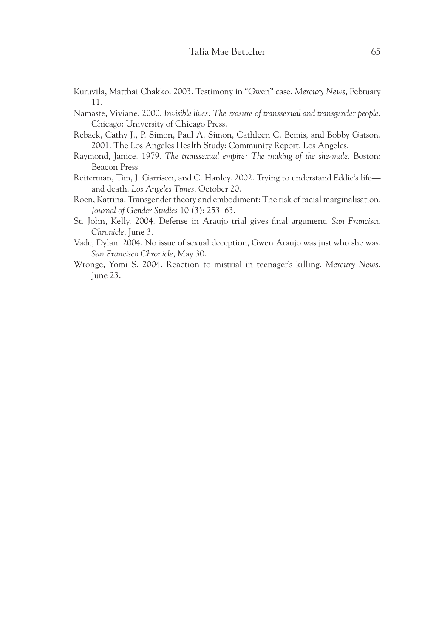- Kuruvila, Matthai Chakko. 2003. Testimony in "Gwen" case. *Mercury News*, February 11.
- Namaste, Viviane. 2000. *Invisible lives: The erasure of transsexual and transgender people*. Chicago: University of Chicago Press.
- Reback, Cathy J., P. Simon, Paul A. Simon, Cathleen C. Bemis, and Bobby Gatson. 2001. The Los Angeles Health Study: Community Report. Los Angeles.
- Raymond, Janice. 1979. *The transsexual empire: The making of the she-male*. Boston: Beacon Press.
- Reiterman, Tim, J. Garrison, and C. Hanley. 2002. Trying to understand Eddie's life and death. *Los Angeles Times*, October 20.
- Roen, Katrina. Transgender theory and embodiment: The risk of racial marginalisation. *Journal of Gender Studies* 10 (3): 253–63.
- St. John, Kelly. 2004. Defense in Araujo trial gives final argument. *San Francisco Chronicle*, June 3.
- Vade, Dylan. 2004. No issue of sexual deception, Gwen Araujo was just who she was. *San Francisco Chronicle*, May 30.
- Wronge, Yomi S. 2004. Reaction to mistrial in teenager's killing. *Mercury News*, June 23.